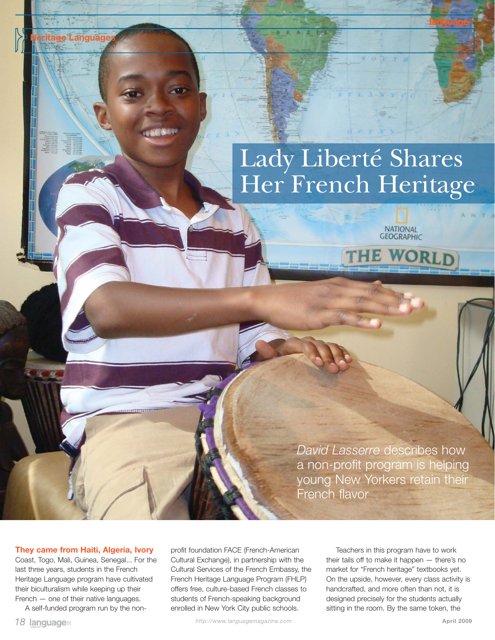## Lady Liberté Shares Her French Heritage

NATIONAL<br>GEOGRAPHIC

WORLD

*David Lasserre* describes how a non-profit program is helping young New Yorkers retain their French flavor

## **They came from Haiti, Algeria, Ivory**

tage Languag

Coast, Togo, Mali, Guinea, Senegal... For the last three years, students in the French Heritage Language program have cultivated their biculturalism while keeping up their French — one of their native languages.

A self-funded program run by the non-

profit foundation FACE (French-American Cultural Exchange), in partnership with the Cultural Services of the French Embassy, the French Heritage Language Program (FHLP) offers free, culture-based French classes to students of French-speaking background enrolled in New York City public schools.

Teachers in this program have to work their tails off to make it happen — there's no market for "French heritage" textbooks yet. On the upside, however, every class activity is handcrafted, and more often than not, it is designed precisely for the students actually sitting in the room. By the same token, the